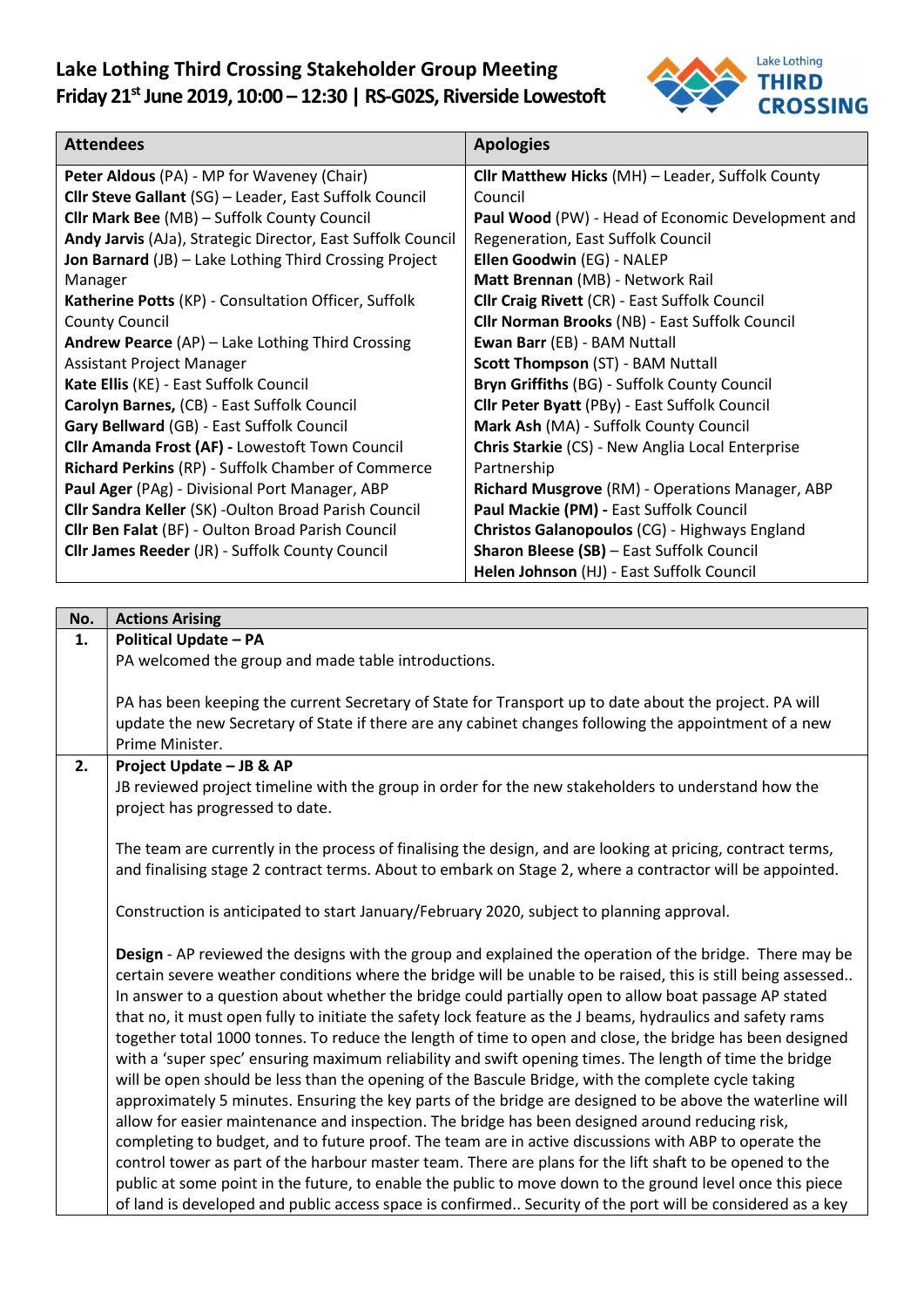

| <b>Attendees</b>                                              | <b>Apologies</b>                                        |
|---------------------------------------------------------------|---------------------------------------------------------|
| Peter Aldous (PA) - MP for Waveney (Chair)                    | <b>Cllr Matthew Hicks (MH) - Leader, Suffolk County</b> |
| <b>Clir Steve Gallant</b> (SG) - Leader, East Suffolk Council | Council                                                 |
| Cllr Mark Bee (MB) - Suffolk County Council                   | Paul Wood (PW) - Head of Economic Development and       |
| Andy Jarvis (AJa), Strategic Director, East Suffolk Council   | Regeneration, East Suffolk Council                      |
| <b>Jon Barnard</b> (JB) - Lake Lothing Third Crossing Project | Ellen Goodwin (EG) - NALEP                              |
| Manager                                                       | Matt Brennan (MB) - Network Rail                        |
| Katherine Potts (KP) - Consultation Officer, Suffolk          | <b>Cllr Craig Rivett (CR) - East Suffolk Council</b>    |
| <b>County Council</b>                                         | <b>Cllr Norman Brooks (NB) - East Suffolk Council</b>   |
| Andrew Pearce (AP) - Lake Lothing Third Crossing              | Ewan Barr (EB) - BAM Nuttall                            |
| <b>Assistant Project Manager</b>                              | <b>Scott Thompson (ST) - BAM Nuttall</b>                |
| Kate Ellis (KE) - East Suffolk Council                        | Bryn Griffiths (BG) - Suffolk County Council            |
| Carolyn Barnes, (CB) - East Suffolk Council                   | <b>Cllr Peter Byatt (PBy) - East Suffolk Council</b>    |
| Gary Bellward (GB) - East Suffolk Council                     | Mark Ash (MA) - Suffolk County Council                  |
| <b>Cllr Amanda Frost (AF) - Lowestoft Town Council</b>        | Chris Starkie (CS) - New Anglia Local Enterprise        |
| <b>Richard Perkins (RP) - Suffolk Chamber of Commerce</b>     | Partnership                                             |
| Paul Ager (PAg) - Divisional Port Manager, ABP                | Richard Musgrove (RM) - Operations Manager, ABP         |
| <b>Clir Sandra Keller (SK) - Oulton Broad Parish Council</b>  | Paul Mackie (PM) - East Suffolk Council                 |
| Cllr Ben Falat (BF) - Oulton Broad Parish Council             | <b>Christos Galanopoulos (CG) - Highways England</b>    |
| <b>Cllr James Reeder (JR) - Suffolk County Council</b>        | Sharon Bleese (SB) - East Suffolk Council               |
|                                                               | Helen Johnson (HJ) - East Suffolk Council               |

| No. | <b>Actions Arising</b>                                                                                                                                                                                                  |
|-----|-------------------------------------------------------------------------------------------------------------------------------------------------------------------------------------------------------------------------|
| 1.  | <b>Political Update - PA</b>                                                                                                                                                                                            |
|     | PA welcomed the group and made table introductions.                                                                                                                                                                     |
|     |                                                                                                                                                                                                                         |
|     | PA has been keeping the current Secretary of State for Transport up to date about the project. PA will                                                                                                                  |
|     | update the new Secretary of State if there are any cabinet changes following the appointment of a new                                                                                                                   |
|     | Prime Minister.                                                                                                                                                                                                         |
| 2.  | Project Update - JB & AP                                                                                                                                                                                                |
|     | JB reviewed project timeline with the group in order for the new stakeholders to understand how the                                                                                                                     |
|     | project has progressed to date.                                                                                                                                                                                         |
|     |                                                                                                                                                                                                                         |
|     | The team are currently in the process of finalising the design, and are looking at pricing, contract terms,<br>and finalising stage 2 contract terms. About to embark on Stage 2, where a contractor will be appointed. |
|     |                                                                                                                                                                                                                         |
|     | Construction is anticipated to start January/February 2020, subject to planning approval.                                                                                                                               |
|     |                                                                                                                                                                                                                         |
|     | Design - AP reviewed the designs with the group and explained the operation of the bridge. There may be                                                                                                                 |
|     | certain severe weather conditions where the bridge will be unable to be raised, this is still being assessed                                                                                                            |
|     | In answer to a question about whether the bridge could partially open to allow boat passage AP stated                                                                                                                   |
|     | that no, it must open fully to initiate the safety lock feature as the J beams, hydraulics and safety rams                                                                                                              |
|     | together total 1000 tonnes. To reduce the length of time to open and close, the bridge has been designed                                                                                                                |
|     | with a 'super spec' ensuring maximum reliability and swift opening times. The length of time the bridge                                                                                                                 |
|     | will be open should be less than the opening of the Bascule Bridge, with the complete cycle taking                                                                                                                      |
|     | approximately 5 minutes. Ensuring the key parts of the bridge are designed to be above the waterline will                                                                                                               |
|     | allow for easier maintenance and inspection. The bridge has been designed around reducing risk,                                                                                                                         |
|     | completing to budget, and to future proof. The team are in active discussions with ABP to operate the                                                                                                                   |
|     | control tower as part of the harbour master team. There are plans for the lift shaft to be opened to the                                                                                                                |
|     | public at some point in the future, to enable the public to move down to the ground level once this piece                                                                                                               |
|     | of land is developed and public access space is confirmed Security of the port will be considered as a key                                                                                                              |